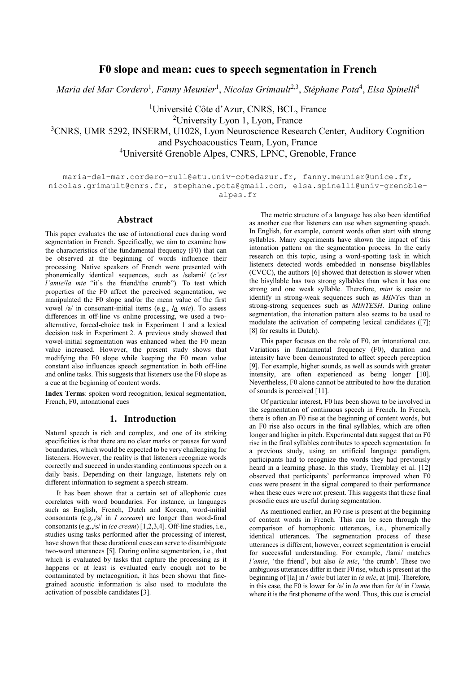# **F0 slope and mean: cues to speech segmentation in French**

*Maria del Mar Cordero*<sup>1</sup> *, Fanny Meunier*<sup>1</sup> , *Nicolas Grimault*2,3 , *Stéphane Pota*<sup>4</sup> , *Elsa Spinelli*<sup>4</sup>

<sup>1</sup>Université Côte d'Azur, CNRS, BCL, France

<sup>2</sup>University Lyon 1, Lyon, France

<sup>3</sup>CNRS, UMR 5292, INSERM, U1028, Lyon Neuroscience Research Center, Auditory Cognition and Psychoacoustics Team, Lyon, France

<sup>4</sup>Université Grenoble Alpes, CNRS, LPNC, Grenoble, France

maria-del-mar.cordero-rull@etu.univ-cotedazur.fr, fanny.meunier@unice.fr, [nicolas.grimault@cnrs.fr,](mailto:nicolas.grimault@cnrs.fr) stephane.pota@gmail.com, elsa.spinelli@univ-grenoblealpes.fr

## **Abstract**

This paper evaluates the use of intonational cues during word segmentation in French. Specifically, we aim to examine how the characteristics of the fundamental frequency (F0) that can be observed at the beginning of words influence their processing. Native speakers of French were presented with phonemically identical sequences, such as /selami/ (*c'est l'amie*/*la mie* "it's the friend/the crumb"). To test which properties of the F0 affect the perceived segmentation, we manipulated the F0 slope and/or the mean value of the first vowel /a/ in consonant-initial items (e.g., *la mie*). To assess differences in off-line vs online processing, we used a twoalternative, forced-choice task in Experiment 1 and a lexical decision task in Experiment 2. A previous study showed that vowel-initial segmentation was enhanced when the F0 mean value increased. However, the present study shows that modifying the F0 slope while keeping the F0 mean value constant also influences speech segmentation in both off-line and online tasks. This suggests that listeners use the F0 slope as a cue at the beginning of content words.

**Index Terms**: spoken word recognition, lexical segmentation, French, F0, intonational cues

# **1. Introduction**

Natural speech is rich and complex, and one of its striking specificities is that there are no clear marks or pauses for word boundaries, which would be expected to be very challenging for listeners. However, the reality is that listeners recognize words correctly and succeed in understanding continuous speech on a daily basis. Depending on their language, listeners rely on different information to segment a speech stream.

It has been shown that a certain set of allophonic cues correlates with word boundaries. For instance, in languages such as English, French, Dutch and Korean, word-initial consonants (e.g.,/s/ in *I scream*) are longer than word-final consonants (e.g.,/s/ in *ice cream*) [1,2,3,4]. Off-line studies, i.e., studies using tasks performed after the processing of interest, have shown that these durational cues can serve to disambiguate two-word utterances [5]. During online segmentation, i.e., that which is evaluated by tasks that capture the processing as it happens or at least is evaluated early enough not to be contaminated by metacognition, it has been shown that finegrained acoustic information is also used to modulate the activation of possible candidates [3].

The metric structure of a language has also been identified as another cue that listeners can use when segmenting speech. In English, for example, content words often start with strong syllables. Many experiments have shown the impact of this intonation pattern on the segmentation process. In the early research on this topic, using a word-spotting task in which listeners detected words embedded in nonsense bisyllables (CVCC), the authors [6] showed that detection is slower when the bisyllable has two strong syllables than when it has one strong and one weak syllable. Therefore, *mint* is easier to identify in strong-weak sequences such as *MINTes* than in strong-strong sequences such as *MINTESH*. During online segmentation, the intonation pattern also seems to be used to modulate the activation of competing lexical candidates ([7]; [8] for results in Dutch).

This paper focuses on the role of F0, an intonational cue. Variations in fundamental frequency (F0), duration and intensity have been demonstrated to affect speech perception [9]. For example, higher sounds, as well as sounds with greater intensity, are often experienced as being longer [10]. Nevertheless, F0 alone cannot be attributed to how the duration of sounds is perceived [11].

Of particular interest, F0 has been shown to be involved in the segmentation of continuous speech in French. In French, there is often an F0 rise at the beginning of content words, but an F0 rise also occurs in the final syllables, which are often longer and higher in pitch. Experimental data suggest that an F0 rise in the final syllables contributes to speech segmentation. In a previous study, using an artificial language paradigm, participants had to recognize the words they had previously heard in a learning phase. In this study, Tremblay et al. [12] observed that participants' performance improved when F0 cues were present in the signal compared to their performance when these cues were not present. This suggests that these final prosodic cues are useful during segmentation.

As mentioned earlier, an F0 rise is present at the beginning of content words in French. This can be seen through the comparison of homophonic utterances, i.e., phonemically identical utterances. The segmentation process of these utterances is different; however, correct segmentation is crucial for successful understanding. For example, /lami/ matches *l'amie*, 'the friend', but also *la mie*, 'the crumb'. These two ambiguous utterances differ in their F0 rise, which is present at the beginning of [la] in *l'amie* but later in *la mie*, at [mi]. Therefore, in this case, the F0 is lower for /a/ in *la mie* than for /a/ in *l'amie*, where it is the first phoneme of the word. Thus, this cue is crucial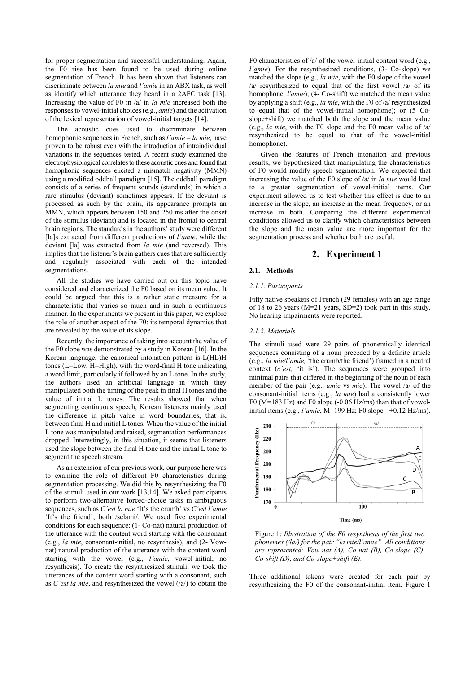for proper segmentation and successful understanding. Again, the F0 rise has been found to be used during online segmentation of French. It has been shown that listeners can discriminate between *la mie* and *l'amie* in an ABX task, as well as identify which utterance they heard in a 2AFC task [13]. Increasing the value of F0 in /a/ in *la mie* increased both the responses to vowel-initial choices (e.g., *amie*) and the activation of the lexical representation of vowel-initial targets [14].

The acoustic cues used to discriminate between homophonic sequences in French, such as *l'amie – la mie*, have proven to be robust even with the introduction of intraindividual variations in the sequences tested. A recent study examined the electrophysiological correlates to these acoustic cues and found that homophonic sequences elicited a mismatch negativity (MMN) using a modified oddball paradigm [15]. The oddball paradigm consists of a series of frequent sounds (standards) in which a rare stimulus (deviant) sometimes appears. If the deviant is processed as such by the brain, its appearance prompts an MMN, which appears between 150 and 250 ms after the onset of the stimulus (deviant) and is located in the frontal to central brain regions. The standards in the authors' study were different [la]s extracted from different productions of *l'amie*, while the deviant [la] was extracted from *la mie* (and reversed). This implies that the listener's brain gathers cues that are sufficiently and regularly associated with each of the intended segmentations.

All the studies we have carried out on this topic have considered and characterized the F0 based on its mean value. It could be argued that this is a rather static measure for a characteristic that varies so much and in such a continuous manner. In the experiments we present in this paper, we explore the role of another aspect of the F0: its temporal dynamics that are revealed by the value of its slope.

Recently, the importance of taking into account the value of the F0 slope was demonstrated by a study in Korean [16]. In the Korean language, the canonical intonation pattern is L(HL)H tones (L=Low, H=High), with the word-final H tone indicating a word limit, particularly if followed by an L tone. In the study, the authors used an artificial language in which they manipulated both the timing of the peak in final H tones and the value of initial L tones. The results showed that when segmenting continuous speech, Korean listeners mainly used the difference in pitch value in word boundaries, that is, between final H and initial L tones. When the value of the initial L tone was manipulated and raised, segmentation performances dropped. Interestingly, in this situation, it seems that listeners used the slope between the final H tone and the initial L tone to segment the speech stream.

As an extension of our previous work, our purpose here was to examine the role of different F0 characteristics during segmentation processing. We did this by resynthesizing the F0 of the stimuli used in our work [13,14]. We asked participants to perform two-alternative forced-choice tasks in ambiguous sequences, such as *C'est la mie* 'It's the crumb' vs *C'est l'amie* 'It's the friend', both /selami/. We used five experimental conditions for each sequence: (1- Co-nat) natural production of the utterance with the content word starting with the consonant (e.g., *la mie*, consonant-initial, no resynthesis), and (2- Vownat) natural production of the utterance with the content word starting with the vowel (e.g., *l'amie*, vowel-initial, no resynthesis). To create the resynthesized stimuli, we took the utterances of the content word starting with a consonant, such as *C'est la mie*, and resynthesized the vowel (/a/) to obtain the

F0 characteristics of /a/ of the vowel-initial content word (e.g., *l'amie*). For the resynthesized conditions, (3- Co-slope) we matched the slope (e.g., *la mie*, with the F0 slope of the vowel /a/ resynthesized to equal that of the first vowel /a/ of its homophone, *l'amie*); (4- Co-shift) we matched the mean value by applying a shift (e.g., *la mie*, with the F0 of /a/ resynthesized to equal that of the vowel-initial homophone); or (5 Coslope+shift) we matched both the slope and the mean value (e.g., *la mie*, with the F0 slope and the F0 mean value of /a/ resynthesized to be equal to that of the vowel-initial homophone).

Given the features of French intonation and previous results, we hypothesized that manipulating the characteristics of F0 would modify speech segmentation. We expected that increasing the value of the F0 slope of /a/ in *la mie* would lead to a greater segmentation of vowel-initial items. Our experiment allowed us to test whether this effect is due to an increase in the slope, an increase in the mean frequency, or an increase in both. Comparing the different experimental conditions allowed us to clarify which characteristics between the slope and the mean value are more important for the segmentation process and whether both are useful.

## **2. Experiment 1**

### **2.1. Methods**

### *2.1.1. Participants*

Fifty native speakers of French (29 females) with an age range of 18 to 26 years (M=21 years, SD=2) took part in this study. No hearing impairments were reported.

#### *2.1.2. Materials*

The stimuli used were 29 pairs of phonemically identical sequences consisting of a noun preceded by a definite article (e.g., *la mie/l'amie,* 'the crumb/the friend') framed in a neutral context (*c'est,* 'it is'). The sequences were grouped into minimal pairs that differed in the beginning of the noun of each member of the pair (e.g., *amie* vs *mie*). The vowel /a/ of the consonant-initial items (e.g., *la mie*) had a consistently lower F0 ( $M=183$  Hz) and F0 slope (-0.06 Hz/ms) than that of vowelinitial items (e.g., *l'amie*, M=199 Hz; F0 slope= +0.12 Hz/ms).



Figure 1: *Illustration of the F0 resynthesis of the first two phonemes (/la/) for the pair "la mie/l'amie". All conditions are represented: Vow-nat (A), Co-nat (B), Co-slope (C), Co-shift (D), and Co-slope+shift (E).*

Three additional tokens were created for each pair by resynthesizing the F0 of the consonant-initial item. Figure 1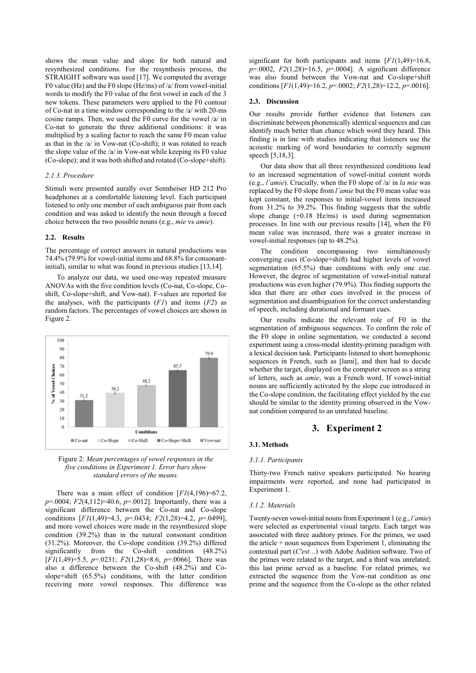shows the mean value and slope for both natural and resynthesized conditions. For the resynthesis process, the STRAIGHT software was used [17]. We computed the average F0 value (Hz) and the F0 slope (Hz/ms) of /a/ from vowel-initial words to modify the F0 value of the first vowel in each of the 3 new tokens. These parameters were applied to the F0 contour of Co-nat in a time window corresponding to the /a/ with 20-ms cosine ramps. Then, we used the F0 curve for the vowel /a/ in Co-nat to generate the three additional conditions: it was multiplied by a scaling factor to reach the same F0 mean value as that in the /a/ in Vow-nat (Co-shift); it was rotated to reach the slope value of the /a/ in Vow-nat while keeping its F0 value (Co-slope); and it was both shifted and rotated (Co-slope+shift).

### *2.1.3. Procedure*

Stimuli were presented aurally over Sennheiser HD 212 Pro headphones at a comfortable listening level. Each participant listened to only one member of each ambiguous pair from each condition and was asked to identify the noun through a forced choice between the two possible nouns (e.g., *mie* vs *amie*).

### **2.2. Results**

The percentage of correct answers in natural productions was 74.4% (79.9% for vowel-initial items and 68.8% for consonantinitial), similar to what was found in previous studies [13,14].

To analyze our data, we used one-way repeated measure ANOVAs with the five condition levels (Co-nat, Co-slope, Coshift, Co-slope+shift, and Vow-nat). F-values are reported for the analyses, with the participants (*F1*) and items (*F2*) as random factors. The percentages of vowel choices are shown in Figure 2.





There was a main effect of condition [*F1*(4,196)=67.2, *p*=.0004; *F2*(4,112)=40.6, *p*=.0012]. Importantly, there was a significant difference between the Co-nat and Co-slope conditions [*F1*(1,49)=4.3, *p*=.0434; *F2*(1,28)=4.2, *p*=.0499], and more vowel choices were made in the resynthesized slope condition (39.2%) than in the natural consonant condition (31.2%). Moreover, the Co-slope condition (39.2%) differed significantly from the Co-shift condition (48.2%) [*F1*(1,49)=5.5, *p*=.0231; *F2*(1,28)=8.6, *p*=.0066]. There was also a difference between the Co-shift (48.2%) and Coslope+shift (65.5%) conditions, with the latter condition receiving more vowel responses. This difference was

significant for both participants and items  $[F1(1,49)=16.8]$ , *p*=.0002, *F2*(1,28)=16.5, *p*=.0004]. A significant difference was also found between the Vow-nat and Co-slope+shift conditions [*F1*(1,49)=16.2, *p*=.0002; *F2*(1,28)=12.2, *p*=.0016].

### **2.3. Discussion**

Our results provide further evidence that listeners can discriminate between phonemically identical sequences and can identify much better than chance which word they heard. This finding is in line with studies indicating that listeners use the acoustic marking of word boundaries to correctly segment speech [5,18,3].

Our data show that all three resynthesized conditions lead to an increased segmentation of vowel-initial content words (e.g., *l'amie*). Crucially, when the F0 slope of /a/ in *la mie* was replaced by the F0 slope from *l'amie* but the F0 mean value was kept constant, the responses to initial-vowel items increased from 31.2% to 39.2%. This finding suggests that the subtle slope change (+0.18 Hz/ms) is used during segmentation processes. In line with our previous results [14], when the F0 mean value was increased, there was a greater increase in vowel-initial responses (up to 48.2%).

The condition encompassing two simultaneously converging cues (Co-slope+shift) had higher levels of vowel segmentation (65.5%) than conditions with only one cue. However, the degree of segmentation of vowel-initial natural productions was even higher (79.9%). This finding supports the idea that there are other cues involved in the process of segmentation and disambiguation for the correct understanding of speech, including durational and formant cues.

Our results indicate the relevant role of F0 in the segmentation of ambiguous sequences. To confirm the role of the F0 slope in online segmentation, we conducted a second experiment using a cross-modal identity-priming paradigm with a lexical decision task. Participants listened to short homophonic sequences in French, such as [lami], and then had to decide whether the target, displayed on the computer screen as a string of letters, such as *amie*, was a French word. If vowel-initial nouns are sufficiently activated by the slope cue introduced in the Co-slope condition, the facilitating effect yielded by the cue should be similar to the identity priming observed in the Vownat condition compared to an unrelated baseline.

# **3. Experiment 2**

### **3.1. Methods**

#### *3.1.1. Participants*

Thirty-two French native speakers participated. No hearing impairments were reported, and none had participated in Experiment 1.

### *3.1.2. Materials*

Twenty-seven vowel-initial nouns from Experiment 1 (e.g., *l'amie*) were selected as experimental visual targets. Each target was associated with three auditory primes. For the primes, we used the article  $+$  noun sequences from Experiment 1, eliminating the contextual part (*C'est…*) with Adobe Audition software. Two of the primes were related to the target, and a third was unrelated; this last prime served as a baseline. For related primes, we extracted the sequence from the Vow-nat condition as one prime and the sequence from the Co-slope as the other related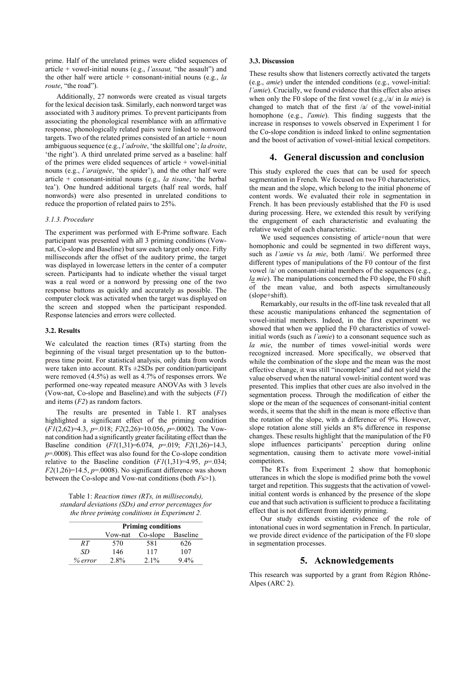prime. Half of the unrelated primes were elided sequences of article + vowel-initial nouns (e.g., *l'assaut,* "the assault") and the other half were article + consonant-initial nouns (e.g., *la route*, "the road").

Additionally, 27 nonwords were created as visual targets for the lexical decision task. Similarly, each nonword target was associated with 3 auditory primes. To prevent participants from associating the phonological resemblance with an affirmative response, phonologically related pairs were linked to nonword targets. Two of the related primes consisted of an article + noun ambiguous sequence (e.g., *l'adroite*, 'the skillful one'; *la droite*, 'the right'). A third unrelated prime served as a baseline: half of the primes were elided sequences of article + vowel-initial nouns (e.g., *l'araignée*, 'the spider'), and the other half were article + consonant-initial nouns (e.g., *la tisane*, 'the herbal tea'). One hundred additional targets (half real words, half nonwords) were also presented in unrelated conditions to reduce the proportion of related pairs to 25%.

#### *3.1.3. Procedure*

The experiment was performed with E-Prime software. Each participant was presented with all 3 priming conditions (Vownat, Co-slope and Baseline) but saw each target only once. Fifty milliseconds after the offset of the auditory prime, the target was displayed in lowercase letters in the center of a computer screen. Participants had to indicate whether the visual target was a real word or a nonword by pressing one of the two response buttons as quickly and accurately as possible. The computer clock was activated when the target was displayed on the screen and stopped when the participant responded. Response latencies and errors were collected.

#### **3.2. Results**

We calculated the reaction times (RTs) starting from the beginning of the visual target presentation up to the buttonpress time point. For statistical analysis, only data from words were taken into account. RTs ±2SDs per condition/participant were removed (4.5%) as well as 4.7% of responses errors. We performed one-way repeated measure ANOVAs with 3 levels (Vow-nat, Co-slope and Baseline).and with the subjects (*F1*) and items (*F2*) as random factors.

The results are presented in Table 1. RT analyses highlighted a significant effect of the priming condition (*F1*(2,62)=4.3, *p*=.018; *F2*(2,26)=10.056, *p*=.0002). The Vownat condition had a significantly greater facilitating effect than the Baseline condition (*F1*(1,31)=6.074, *p*=.019; *F2*(1,26)=14.3, *p*=.0008). This effect was also found for the Co-slope condition relative to the Baseline condition  $(F1(1,31)=4.95, p=.034;$ *F2*(1,26)=14.5, *p*=.0008). No significant difference was shown between the Co-slope and Vow-nat conditions (both *F*s>1).

Table 1: *Reaction times (RTs, in milliseconds), standard deviations (SDs) and error percentages for the three priming conditions in Experiment 2.*

|         | <b>Priming conditions</b> |                   |         |
|---------|---------------------------|-------------------|---------|
|         | Vow-nat                   | Co-slope Baseline |         |
| RT      | 570                       | 581               | 626     |
| SD.     | 146                       | 117               | 107     |
| % error | $2.8\%$                   | $2.1\%$           | $9.4\%$ |

### **3.3. Discussion**

These results show that listeners correctly activated the targets (e.g., *amie*) under the intended conditions (e.g., vowel-initial: *l'amie*). Crucially, we found evidence that this effect also arises when only the F0 slope of the first vowel (e.g.,/a/ in *la mie*) is changed to match that of the first /a/ of the vowel-initial homophone (e.g., *l'amie*). This finding suggests that the increase in responses to vowels observed in Experiment 1 for the Co-slope condition is indeed linked to online segmentation and the boost of activation of vowel-initial lexical competitors.

## **4. General discussion and conclusion**

This study explored the cues that can be used for speech segmentation in French. We focused on two F0 characteristics, the mean and the slope, which belong to the initial phoneme of content words. We evaluated their role in segmentation in French. It has been previously established that the F0 is used during processing. Here, we extended this result by verifying the engagement of each characteristic and evaluating the relative weight of each characteristic.

We used sequences consisting of article+noun that were homophonic and could be segmented in two different ways, such as *l'amie* vs *la mie*, both /lami/. We performed three different types of manipulations of the F0 contour of the first vowel /a/ on consonant-initial members of the sequences (e.g., *la mie*). The manipulations concerned the F0 slope, the F0 shift of the mean value, and both aspects simultaneously (slope+shift).

Remarkably, our results in the off-line task revealed that all these acoustic manipulations enhanced the segmentation of vowel-initial members. Indeed, in the first experiment we showed that when we applied the F0 characteristics of vowelinitial words (such as *l'amie*) to a consonant sequence such as *la mie*, the number of times vowel-initial words were recognized increased. More specifically, we observed that while the combination of the slope and the mean was the most effective change, it was still "incomplete" and did not yield the value observed when the natural vowel-initial content word was presented. This implies that other cues are also involved in the segmentation process. Through the modification of either the slope or the mean of the sequences of consonant-initial content words, it seems that the shift in the mean is more effective than the rotation of the slope, with a difference of 9%. However, slope rotation alone still yields an 8% difference in response changes. These results highlight that the manipulation of the F0 slope influences participants' perception during online segmentation, causing them to activate more vowel-initial competitors.

The RTs from Experiment 2 show that homophonic utterances in which the slope is modified prime both the vowel target and repetition. This suggests that the activation of vowelinitial content words is enhanced by the presence of the slope cue and that such activation is sufficient to produce a facilitating effect that is not different from identity priming.

Our study extends existing evidence of the role of intonational cues in word segmentation in French. In particular, we provide direct evidence of the participation of the F0 slope in segmentation processes.

# **5. Acknowledgements**

This research was supported by a grant from Région Rhône-Alpes (ARC 2).